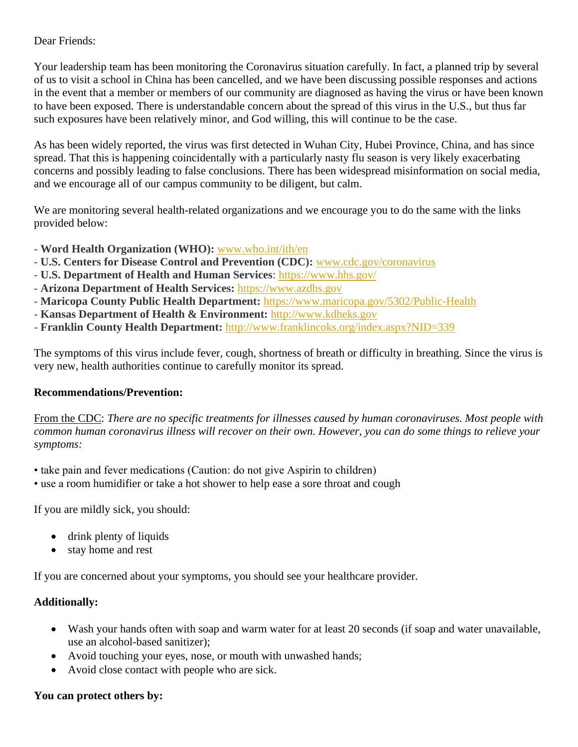## Dear Friends:

Your leadership team has been monitoring the Coronavirus situation carefully. In fact, a planned trip by several of us to visit a school in China has been cancelled, and we have been discussing possible responses and actions in the event that a member or members of our community are diagnosed as having the virus or have been known to have been exposed. There is understandable concern about the spread of this virus in the U.S., but thus far such exposures have been relatively minor, and God willing, this will continue to be the case.

As has been widely reported, the virus was first detected in Wuhan City, Hubei Province, China, and has since spread. That this is happening coincidentally with a particularly nasty flu season is very likely exacerbating concerns and possibly leading to false conclusions. There has been widespread misinformation on social media, and we encourage all of our campus community to be diligent, but calm.

We are monitoring several health-related organizations and we encourage you to do the same with the links provided below:

- **Word Health Organization (WHO):** [www.who.int/ith/en](https://www.who.int/ith/en/)
- **U.S. Centers for Disease Control and Prevention (CDC):** [www.cdc.gov/coronavirus](http://www.cdc.gov/coronavirus)
- **U.S. Department of Health and Human Services**:<https://www.hhs.gov/>
- **Arizona Department of Health Services:** [https://www.azdhs.gov](https://www.azdhs.gov/)
- **Maricopa County Public Health Department:** <https://www.maricopa.gov/5302/Public-Health>
- **Kansas Department of Health & Environment:** [http://www.kdheks.gov](http://www.kdheks.gov/)
- **Franklin County Health Department:** <http://www.franklincoks.org/index.aspx?NID=339>

The symptoms of this virus include fever, cough, shortness of breath or difficulty in breathing. Since the virus is very new, health authorities continue to carefully monitor its spread.

## **Recommendations/Prevention:**

From the CDC: *There are no specific treatments for illnesses caused by human coronaviruses. Most people with common human coronavirus illness will recover on their own. However, you can do some things to relieve your symptoms:*

- take pain and fever medications (Caution: do not give Aspirin to children)
- use a room humidifier or take a hot shower to help ease a sore throat and cough

If you are mildly sick, you should:

- drink plenty of liquids
- stay home and rest

If you are concerned about your symptoms, you should see your healthcare provider.

## **Additionally:**

- Wash your hands often with soap and warm water for at least 20 seconds (if soap and water unavailable, use an alcohol-based sanitizer);
- Avoid touching your eyes, nose, or mouth with unwashed hands;
- Avoid close contact with people who are sick.

## **You can protect others by:**